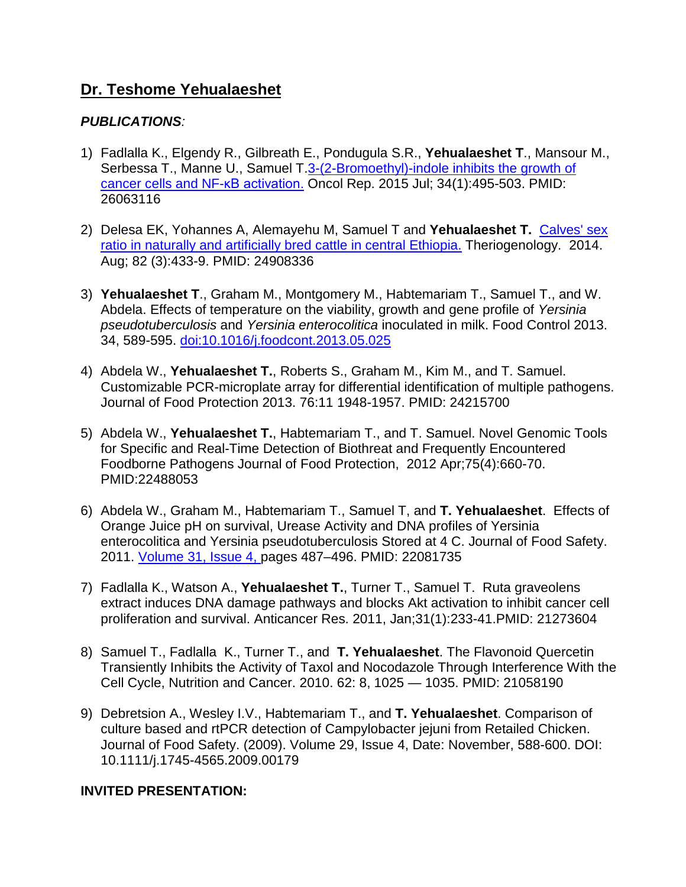# **Dr. Teshome Yehualaeshet**

## *PUBLICATIONS:*

- 1) Fadlalla K., Elgendy R., Gilbreath E., Pondugula S.R., **Yehualaeshet T**., Mansour M., Serbessa T., Manne U., Samuel T[.3-\(2-Bromoethyl\)-indole inhibits the growth of](http://www.ncbi.nlm.nih.gov/pubmed/26063116)  [cancer cells and NF-](http://www.ncbi.nlm.nih.gov/pubmed/26063116)κB activation. Oncol Rep. 2015 Jul; 34(1):495-503. PMID: 26063116
- 2) Delesa EK, Yohannes A, Alemayehu M, Samuel T and **Yehualaeshet T.** [Calves' sex](http://www.ncbi.nlm.nih.gov/pubmed/24908336)  [ratio in naturally and artificially bred cattle in central Ethiopia.](http://www.ncbi.nlm.nih.gov/pubmed/24908336) Theriogenology. 2014. Aug; 82 (3):433-9. PMID: 24908336
- 3) **Yehualaeshet T**., Graham M., Montgomery M., Habtemariam T., Samuel T., and W. Abdela. Effects of temperature on the viability, growth and gene profile of *Yersinia pseudotuberculosis* and *Yersinia enterocolitica* inoculated in milk. Food Control 2013. 34, 589-595. [doi:10.1016/j.foodcont.2013.05.025](http://dx.doi.org/10.1016/j.foodcont.2013.05.025)
- 4) Abdela W., **Yehualaeshet T.**, Roberts S., Graham M., Kim M., and T. Samuel. Customizable PCR-microplate array for differential identification of multiple pathogens. Journal of Food Protection 2013. 76:11 1948-1957. PMID: 24215700
- 5) Abdela W., **Yehualaeshet T.**, Habtemariam T., and T. Samuel. Novel Genomic Tools for Specific and Real-Time Detection of Biothreat and Frequently Encountered Foodborne Pathogens Journal of Food Protection, 2012 Apr;75(4):660-70. PMID:22488053
- 6) Abdela W., Graham M., Habtemariam T., Samuel T, and **T. Yehualaeshet**. Effects of Orange Juice pH on survival, Urease Activity and DNA profiles of Yersinia enterocolitica and Yersinia pseudotuberculosis Stored at 4 C. Journal of Food Safety. 2011. [Volume 31, Issue 4, p](http://onlinelibrary.wiley.com/doi/10.1111/jfs.2011.31.issue-4/issuetoc)ages 487–496. PMID: 22081735
- 7) Fadlalla K., Watson A., **Yehualaeshet T.**, Turner T., Samuel T. Ruta graveolens extract induces DNA damage pathways and blocks Akt activation to inhibit cancer cell proliferation and survival. Anticancer Res. 2011, Jan;31(1):233-41.PMID: 21273604
- 8) Samuel T., Fadlalla K., Turner T., and **T. Yehualaeshet**. The Flavonoid Quercetin Transiently Inhibits the Activity of Taxol and Nocodazole Through Interference With the Cell Cycle, Nutrition and Cancer. 2010. 62: 8, 1025 — 1035. PMID: 21058190
- 9) Debretsion A., Wesley I.V., Habtemariam T., and **T. Yehualaeshet**. Comparison of culture based and rtPCR detection of Campylobacter jejuni from Retailed Chicken. Journal of Food Safety. (2009). Volume 29, Issue 4, Date: November, 588-600. DOI: 10.1111/j.1745-4565.2009.00179

## **INVITED PRESENTATION:**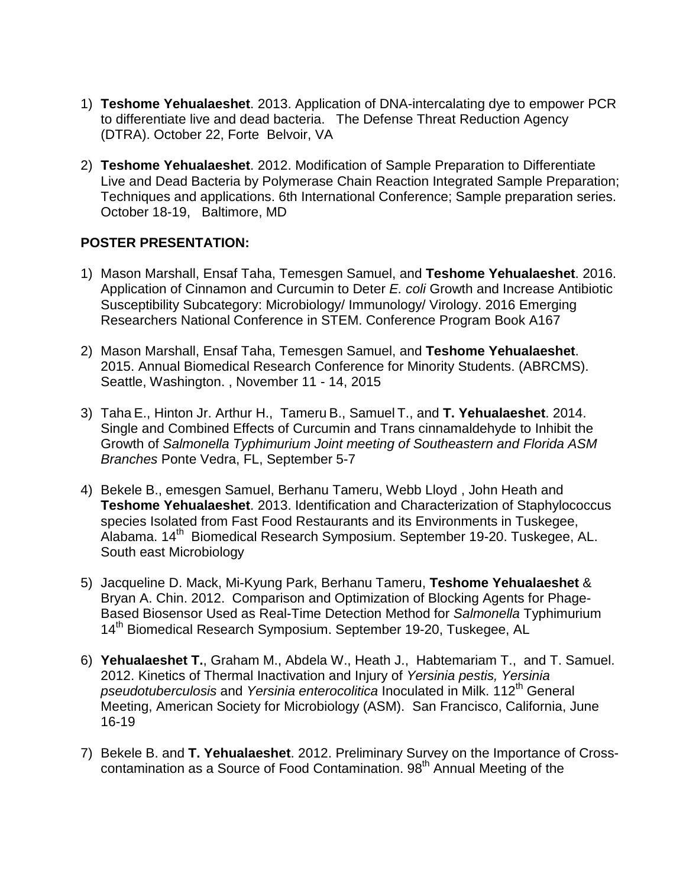- 1) **Teshome Yehualaeshet**. 2013. Application of DNA-intercalating dye to empower PCR to differentiate live and dead bacteria. The Defense Threat Reduction Agency (DTRA). October 22, Forte Belvoir, VA
- 2) **Teshome Yehualaeshet**. 2012. Modification of Sample Preparation to Differentiate Live and Dead Bacteria by Polymerase Chain Reaction Integrated Sample Preparation; Techniques and applications. 6th International Conference; Sample preparation series. October 18-19, Baltimore, MD

### **POSTER PRESENTATION:**

- 1) Mason Marshall, Ensaf Taha, Temesgen Samuel, and **Teshome Yehualaeshet**. 2016. Application of Cinnamon and Curcumin to Deter *E. coli* Growth and Increase Antibiotic Susceptibility Subcategory: Microbiology/ Immunology/ Virology. 2016 Emerging Researchers National Conference in STEM. Conference Program Book A167
- 2) Mason Marshall, Ensaf Taha, Temesgen Samuel, and **Teshome Yehualaeshet**. 2015. Annual Biomedical Research Conference for Minority Students. (ABRCMS). Seattle, Washington. , November 11 - 14, 2015
- 3) Taha E., Hinton Jr. Arthur H., Tameru B., Samuel T., and **T. Yehualaeshet**. 2014. Single and Combined Effects of Curcumin and Trans cinnamaldehyde to Inhibit the Growth of *Salmonella Typhimurium Joint meeting of Southeastern and Florida ASM Branches* Ponte Vedra, FL, September 5-7
- 4) Bekele B., emesgen Samuel, Berhanu Tameru, Webb Lloyd , John Heath and **Teshome Yehualaeshet**. 2013. Identification and Characterization of Staphylococcus species Isolated from Fast Food Restaurants and its Environments in Tuskegee, Alabama. 14<sup>th</sup> Biomedical Research Symposium. September 19-20. Tuskegee, AL. South east Microbiology
- 5) Jacqueline D. Mack, Mi-Kyung Park, Berhanu Tameru, **Teshome Yehualaeshet** & Bryan A. Chin. 2012. Comparison and Optimization of Blocking Agents for Phage-Based Biosensor Used as Real-Time Detection Method for *Salmonella* Typhimurium 14<sup>th</sup> Biomedical Research Symposium. September 19-20, Tuskegee, AL
- 6) **Yehualaeshet T.**, Graham M., Abdela W., Heath J., Habtemariam T., and T. Samuel. 2012. Kinetics of Thermal Inactivation and Injury of *Yersinia pestis, Yersinia pseudotuberculosis* and *Yersinia enterocolitica* Inoculated in Milk. 112th General Meeting, American Society for Microbiology (ASM). San Francisco, California, June 16-19
- 7) Bekele B. and **T. Yehualaeshet**. 2012. Preliminary Survey on the Importance of Crosscontamination as a Source of Food Contamination. 98<sup>th</sup> Annual Meeting of the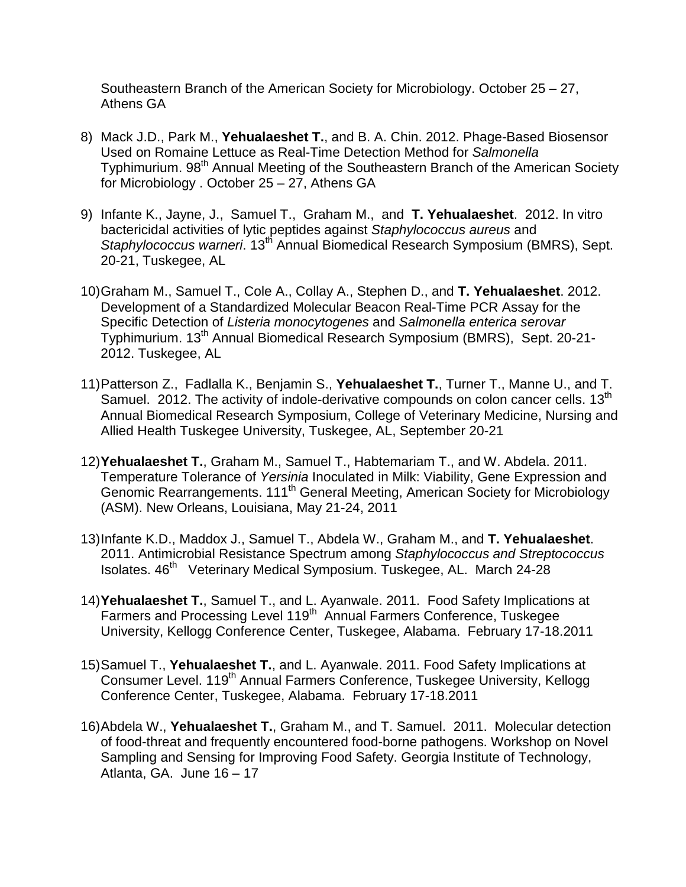Southeastern Branch of the American Society for Microbiology. October 25 – 27, Athens GA

- 8) Mack J.D., Park M., **Yehualaeshet T.**, and B. A. Chin. 2012. Phage-Based Biosensor Used on Romaine Lettuce as Real-Time Detection Method for *Salmonella* Typhimurium. 98<sup>th</sup> Annual Meeting of the Southeastern Branch of the American Society for Microbiology . October 25 – 27, Athens GA
- 9) Infante K., Jayne, J., Samuel T., Graham M., and **T. Yehualaeshet**. 2012. In vitro bactericidal activities of lytic peptides against *Staphylococcus aureus* and *Staphylococcus warneri*. 13<sup>th</sup> Annual Biomedical Research Symposium (BMRS), Sept. 20-21, Tuskegee, AL
- 10)Graham M., Samuel T., Cole A., Collay A., Stephen D., and **T. Yehualaeshet**. 2012. Development of a Standardized Molecular Beacon Real-Time PCR Assay for the Specific Detection of *Listeria monocytogenes* and *Salmonella enterica serovar*  Typhimurium. 13th Annual Biomedical Research Symposium (BMRS), Sept. 20-21- 2012. Tuskegee, AL
- 11)Patterson Z., Fadlalla K., Benjamin S., **Yehualaeshet T.**, Turner T., Manne U., and T. Samuel. 2012. The activity of indole-derivative compounds on colon cancer cells. 13<sup>th</sup> Annual Biomedical Research Symposium, College of Veterinary Medicine, Nursing and Allied Health Tuskegee University, Tuskegee, AL, September 20-21
- 12)**Yehualaeshet T.**, Graham M., Samuel T., Habtemariam T., and W. Abdela. 2011. Temperature Tolerance of *Yersinia* Inoculated in Milk: Viability, Gene Expression and Genomic Rearrangements. 111<sup>th</sup> General Meeting, American Society for Microbiology (ASM). New Orleans, Louisiana, May 21-24, 2011
- 13)Infante K.D., Maddox J., Samuel T., Abdela W., Graham M., and **T. Yehualaeshet**. 2011. Antimicrobial Resistance Spectrum among *Staphylococcus and Streptococcus* Isolates. 46<sup>th</sup> Veterinary Medical Symposium. Tuskegee, AL. March 24-28
- 14)**Yehualaeshet T.**, Samuel T., and L. Ayanwale. 2011. Food Safety Implications at Farmers and Processing Level 119<sup>th</sup> Annual Farmers Conference, Tuskegee University, Kellogg Conference Center, Tuskegee, Alabama. February 17-18.2011
- 15)Samuel T., **Yehualaeshet T.**, and L. Ayanwale. 2011. Food Safety Implications at Consumer Level. 119<sup>th</sup> Annual Farmers Conference, Tuskegee University, Kellogg Conference Center, Tuskegee, Alabama. February 17-18.2011
- 16)Abdela W., **Yehualaeshet T.**, Graham M., and T. Samuel. 2011. Molecular detection of food-threat and frequently encountered food-borne pathogens. Workshop on Novel Sampling and Sensing for Improving Food Safety. Georgia Institute of Technology, Atlanta, GA. June 16 – 17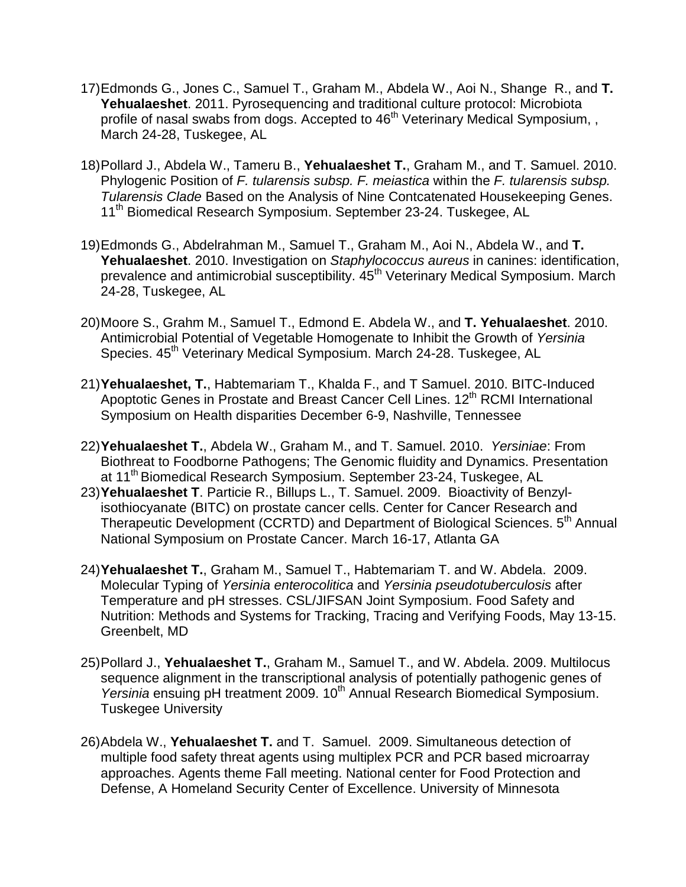- 17)Edmonds G., Jones C., Samuel T., Graham M., Abdela W., Aoi N., Shange R., and **T. Yehualaeshet**. 2011. Pyrosequencing and traditional culture protocol: Microbiota profile of nasal swabs from dogs. Accepted to 46<sup>th</sup> Veterinary Medical Symposium, , March 24-28, Tuskegee, AL
- 18)Pollard J., Abdela W., Tameru B., **Yehualaeshet T.**, Graham M., and T. Samuel. 2010. Phylogenic Position of *F. tularensis subsp. F. meiastica* within the *F. tularensis subsp. Tularensis Clade* Based on the Analysis of Nine Contcatenated Housekeeping Genes. 11<sup>th</sup> Biomedical Research Symposium. September 23-24. Tuskegee, AL
- 19)Edmonds G., Abdelrahman M., Samuel T., Graham M., Aoi N., Abdela W., and **T. Yehualaeshet**. 2010. Investigation on *Staphylococcus aureus* in canines: identification, prevalence and antimicrobial susceptibility.  $45<sup>th</sup>$  Veterinary Medical Symposium. March 24-28, Tuskegee, AL
- 20)Moore S., Grahm M., Samuel T., Edmond E. Abdela W., and **T. Yehualaeshet**. 2010. Antimicrobial Potential of Vegetable Homogenate to Inhibit the Growth of *Yersinia* Species. 45<sup>th</sup> Veterinary Medical Symposium. March 24-28. Tuskegee, AL
- 21)**Yehualaeshet, T.**, Habtemariam T., Khalda F., and T Samuel. 2010. BITC-Induced Apoptotic Genes in Prostate and Breast Cancer Cell Lines. 12<sup>th</sup> RCMI International Symposium on Health disparities December 6-9, Nashville, Tennessee
- 22)**Yehualaeshet T.**, Abdela W., Graham M., and T. Samuel. 2010. *Yersiniae*: From Biothreat to Foodborne Pathogens; The Genomic fluidity and Dynamics. Presentation at 11<sup>th</sup> Biomedical Research Symposium. September 23-24, Tuskegee, AL
- 23)**Yehualaeshet T**. Particie R., Billups L., T. Samuel. 2009. Bioactivity of Benzylisothiocyanate (BITC) on prostate cancer cells. Center for Cancer Research and Therapeutic Development (CCRTD) and Department of Biological Sciences. 5<sup>th</sup> Annual National Symposium on Prostate Cancer. March 16-17, Atlanta GA
- 24)**Yehualaeshet T.**, Graham M., Samuel T., Habtemariam T. and W. Abdela. 2009. Molecular Typing of *Yersinia enterocolitica* and *Yersinia pseudotuberculosis* after Temperature and pH stresses. CSL/JIFSAN Joint Symposium. Food Safety and Nutrition: Methods and Systems for Tracking, Tracing and Verifying Foods, May 13-15. Greenbelt, MD
- 25)Pollard J., **Yehualaeshet T.**, Graham M., Samuel T., and W. Abdela. 2009. Multilocus sequence alignment in the transcriptional analysis of potentially pathogenic genes of *Yersinia* ensuing pH treatment 2009. 10<sup>th</sup> Annual Research Biomedical Symposium. Tuskegee University
- 26)Abdela W., **Yehualaeshet T.** and T. Samuel. 2009. Simultaneous detection of multiple food safety threat agents using multiplex PCR and PCR based microarray approaches. Agents theme Fall meeting. National center for Food Protection and Defense, A Homeland Security Center of Excellence. University of Minnesota